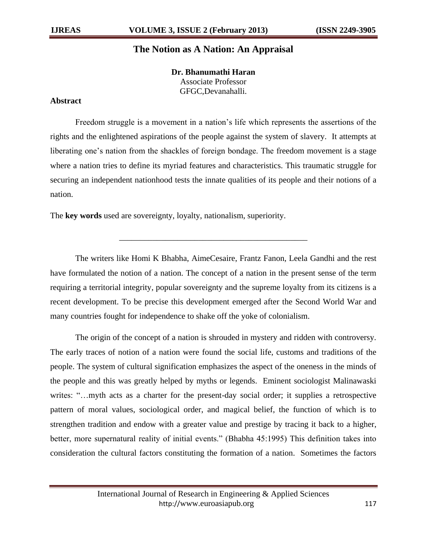## **The Notion as A Nation: An Appraisal**

**Dr. Bhanumathi Haran** Associate Professor GFGC,Devanahalli.

## **Abstract**

Freedom struggle is a movement in a nation"s life which represents the assertions of the rights and the enlightened aspirations of the people against the system of slavery. It attempts at liberating one's nation from the shackles of foreign bondage. The freedom movement is a stage where a nation tries to define its myriad features and characteristics. This traumatic struggle for securing an independent nationhood tests the innate qualities of its people and their notions of a nation.

The **key words** used are sovereignty, loyalty, nationalism, superiority.

The writers like Homi K Bhabha, AimeCesaire, Frantz Fanon, Leela Gandhi and the rest have formulated the notion of a nation. The concept of a nation in the present sense of the term requiring a territorial integrity, popular sovereignty and the supreme loyalty from its citizens is a recent development. To be precise this development emerged after the Second World War and many countries fought for independence to shake off the yoke of colonialism.

\_\_\_\_\_\_\_\_\_\_\_\_\_\_\_\_\_\_\_\_\_\_\_\_\_\_\_\_\_\_\_\_\_\_\_\_\_\_\_\_\_\_\_\_\_

The origin of the concept of a nation is shrouded in mystery and ridden with controversy. The early traces of notion of a nation were found the social life, customs and traditions of the people. The system of cultural signification emphasizes the aspect of the oneness in the minds of the people and this was greatly helped by myths or legends. Eminent sociologist Malinawaski writes: "...myth acts as a charter for the present-day social order; it supplies a retrospective pattern of moral values, sociological order, and magical belief, the function of which is to strengthen tradition and endow with a greater value and prestige by tracing it back to a higher, better, more supernatural reality of initial events." (Bhabha 45:1995) This definition takes into consideration the cultural factors constituting the formation of a nation. Sometimes the factors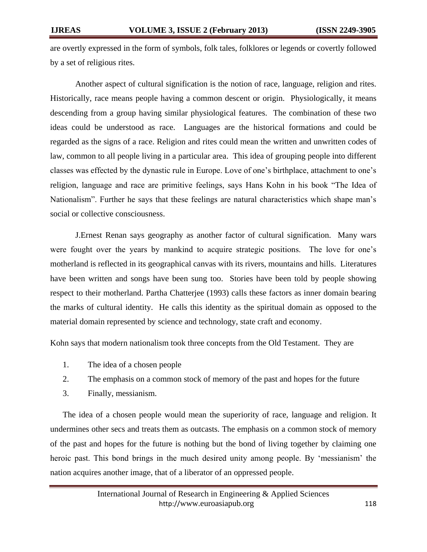are overtly expressed in the form of symbols, folk tales, folklores or legends or covertly followed by a set of religious rites.

Another aspect of cultural signification is the notion of race, language, religion and rites. Historically, race means people having a common descent or origin. Physiologically, it means descending from a group having similar physiological features. The combination of these two ideas could be understood as race. Languages are the historical formations and could be regarded as the signs of a race. Religion and rites could mean the written and unwritten codes of law, common to all people living in a particular area. This idea of grouping people into different classes was effected by the dynastic rule in Europe. Love of one"s birthplace, attachment to one"s religion, language and race are primitive feelings, says Hans Kohn in his book "The Idea of Nationalism". Further he says that these feelings are natural characteristics which shape man"s social or collective consciousness.

J.Ernest Renan says geography as another factor of cultural signification. Many wars were fought over the years by mankind to acquire strategic positions. The love for one"s motherland is reflected in its geographical canvas with its rivers, mountains and hills. Literatures have been written and songs have been sung too. Stories have been told by people showing respect to their motherland. Partha Chatterjee (1993) calls these factors as inner domain bearing the marks of cultural identity. He calls this identity as the spiritual domain as opposed to the material domain represented by science and technology, state craft and economy.

Kohn says that modern nationalism took three concepts from the Old Testament. They are

- 1. The idea of a chosen people
- 2. The emphasis on a common stock of memory of the past and hopes for the future
- 3. Finally, messianism.

The idea of a chosen people would mean the superiority of race, language and religion. It undermines other secs and treats them as outcasts. The emphasis on a common stock of memory of the past and hopes for the future is nothing but the bond of living together by claiming one heroic past. This bond brings in the much desired unity among people. By "messianism" the nation acquires another image, that of a liberator of an oppressed people.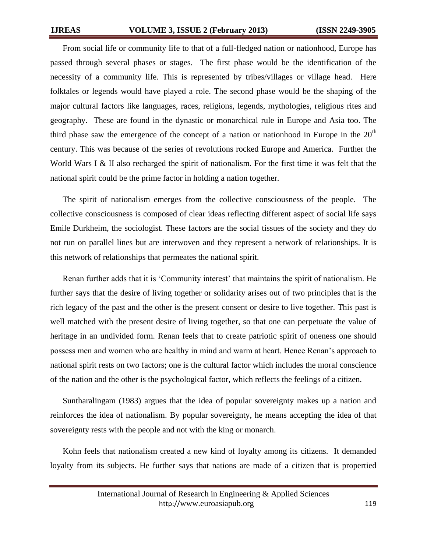From social life or community life to that of a full-fledged nation or nationhood, Europe has passed through several phases or stages. The first phase would be the identification of the necessity of a community life. This is represented by tribes/villages or village head. Here folktales or legends would have played a role. The second phase would be the shaping of the major cultural factors like languages, races, religions, legends, mythologies, religious rites and geography. These are found in the dynastic or monarchical rule in Europe and Asia too. The third phase saw the emergence of the concept of a nation or nationhood in Europe in the  $20<sup>th</sup>$ century. This was because of the series of revolutions rocked Europe and America. Further the World Wars I & II also recharged the spirit of nationalism. For the first time it was felt that the national spirit could be the prime factor in holding a nation together.

The spirit of nationalism emerges from the collective consciousness of the people. The collective consciousness is composed of clear ideas reflecting different aspect of social life says Emile Durkheim, the sociologist. These factors are the social tissues of the society and they do not run on parallel lines but are interwoven and they represent a network of relationships. It is this network of relationships that permeates the national spirit.

Renan further adds that it is 'Community interest' that maintains the spirit of nationalism. He further says that the desire of living together or solidarity arises out of two principles that is the rich legacy of the past and the other is the present consent or desire to live together. This past is well matched with the present desire of living together, so that one can perpetuate the value of heritage in an undivided form. Renan feels that to create patriotic spirit of oneness one should possess men and women who are healthy in mind and warm at heart. Hence Renan"s approach to national spirit rests on two factors; one is the cultural factor which includes the moral conscience of the nation and the other is the psychological factor, which reflects the feelings of a citizen.

Suntharalingam (1983) argues that the idea of popular sovereignty makes up a nation and reinforces the idea of nationalism. By popular sovereignty, he means accepting the idea of that sovereignty rests with the people and not with the king or monarch.

Kohn feels that nationalism created a new kind of loyalty among its citizens. It demanded loyalty from its subjects. He further says that nations are made of a citizen that is propertied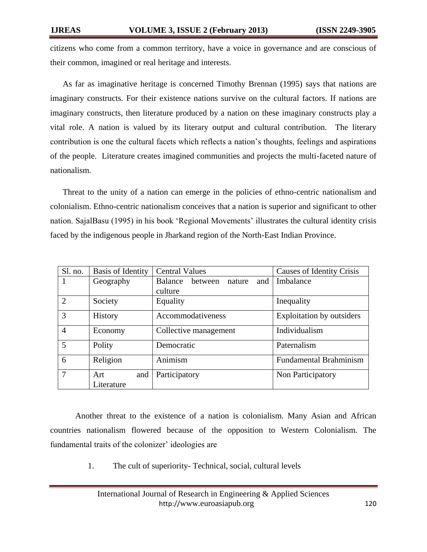citizens who come from a common territory, have a voice in governance and are conscious of their common, imagined or real heritage and interests.

As far as imaginative heritage is concerned Timothy Brennan (1995) says that nations are imaginary constructs. For their existence nations survive on the cultural factors. If nations are imaginary constructs, then literature produced by a nation on these imaginary constructs play a vital role. A nation is valued by its literary output and cultural contribution. The literary contribution is one the cultural facets which reflects a nation"s thoughts, feelings and aspirations of the people. Literature creates imagined communities and projects the multi-faceted nature of nationalism.

Threat to the unity of a nation can emerge in the policies of ethno-centric nationalism and colonialism. Ethno-centric nationalism conceives that a nation is superior and significant to other nation. SajalBasu (1995) in his book "Regional Movements" illustrates the cultural identity crisis faced by the indigenous people in Jharkand region of the North-East Indian Province.

| Sl. no.        | Basis of Identity | <b>Central Values</b>                      | Causes of Identity Crisis     |
|----------------|-------------------|--------------------------------------------|-------------------------------|
| -1             | Geography         | <b>Balance</b><br>between<br>and<br>nature | Imbalance                     |
|                |                   | culture                                    |                               |
| $\overline{2}$ | Society           | Equality                                   | Inequality                    |
| 3              | <b>History</b>    | Accommodativeness                          | Exploitation by outsiders     |
| $\overline{4}$ | Economy           | Collective management                      | Individualism                 |
| 5              | Polity            | Democratic                                 | Paternalism                   |
| 6              | Religion          | Animism                                    | <b>Fundamental Brahminism</b> |
| 7              | Art<br>and        | Participatory                              | Non Participatory             |
|                | Literature        |                                            |                               |

Another threat to the existence of a nation is colonialism. Many Asian and African countries nationalism flowered because of the opposition to Western Colonialism. The fundamental traits of the colonizer' ideologies are

1. The cult of superiority- Technical, social, cultural levels